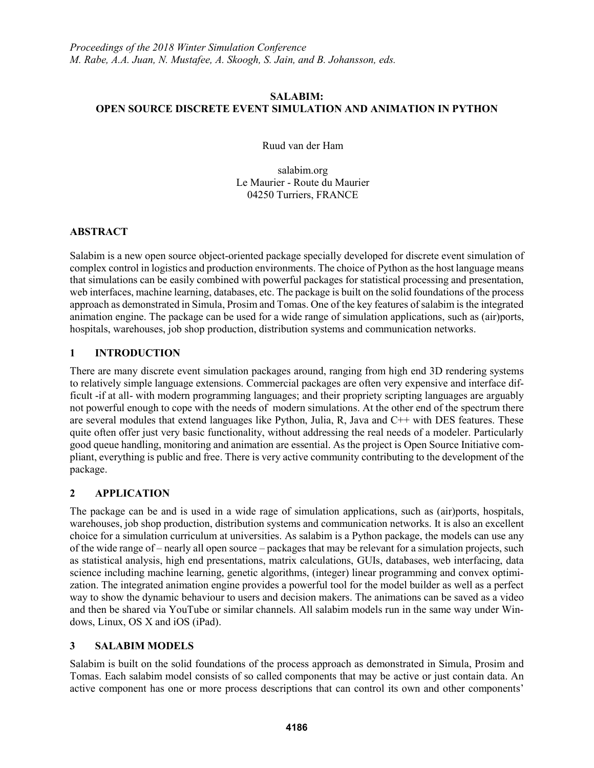#### **SALABIM: OPEN SOURCE DISCRETE EVENT SIMULATION AND ANIMATION IN PYTHON**

Ruud van der Ham

salabim.org Le Maurier - Route du Maurier 04250 Turriers, FRANCE

# **ABSTRACT**

Salabim is a new open source object-oriented package specially developed for discrete event simulation of complex control in logistics and production environments. The choice of Python as the host language means that simulations can be easily combined with powerful packages for statistical processing and presentation, web interfaces, machine learning, databases, etc. The package is built on the solid foundations of the process approach as demonstrated in Simula, Prosim and Tomas. One of the key features of salabim is the integrated animation engine. The package can be used for a wide range of simulation applications, such as (air)ports, hospitals, warehouses, job shop production, distribution systems and communication networks.

# **1 INTRODUCTION**

There are many discrete event simulation packages around, ranging from high end 3D rendering systems to relatively simple language extensions. Commercial packages are often very expensive and interface difficult -if at all- with modern programming languages; and their propriety scripting languages are arguably not powerful enough to cope with the needs of modern simulations. At the other end of the spectrum there are several modules that extend languages like Python, Julia, R, Java and C++ with DES features. These quite often offer just very basic functionality, without addressing the real needs of a modeler. Particularly good queue handling, monitoring and animation are essential. As the project is Open Source Initiative compliant, everything is public and free. There is very active community contributing to the development of the package.

# **2 APPLICATION**

The package can be and is used in a wide rage of simulation applications, such as (air)ports, hospitals, warehouses, job shop production, distribution systems and communication networks. It is also an excellent choice for a simulation curriculum at universities. As salabim is a Python package, the models can use any of the wide range of – nearly all open source – packages that may be relevant for a simulation projects, such as statistical analysis, high end presentations, matrix calculations, GUIs, databases, web interfacing, data science including machine learning, genetic algorithms, (integer) linear programming and convex optimization. The integrated animation engine provides a powerful tool for the model builder as well as a perfect way to show the dynamic behaviour to users and decision makers. The animations can be saved as a video and then be shared via YouTube or similar channels. All salabim models run in the same way under Windows, Linux, OS X and iOS (iPad).

# **3 SALABIM MODELS**

Salabim is built on the solid foundations of the process approach as demonstrated in Simula, Prosim and Tomas. Each salabim model consists of so called components that may be active or just contain data. An active component has one or more process descriptions that can control its own and other components'